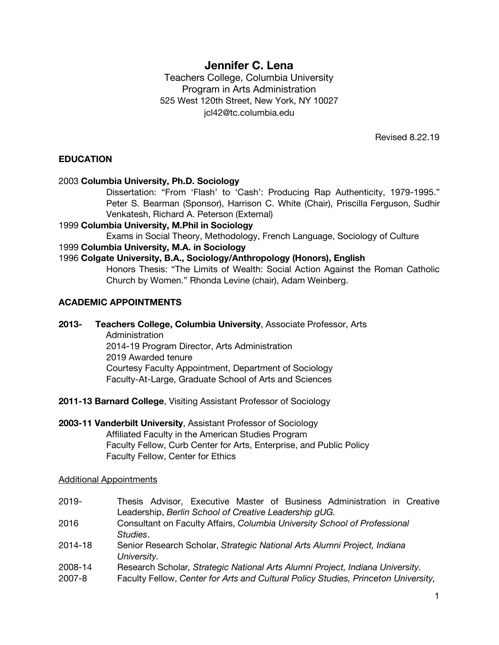# **Jennifer C. Lena**

Teachers College, Columbia University Program in Arts Administration 525 West 120th Street, New York, NY 10027 jcl42@tc.columbia.edu

Revised 8.22.19

### **EDUCATION**

### 2003 **Columbia University, Ph.D. Sociology**

Dissertation: "From 'Flash' to 'Cash': Producing Rap Authenticity, 1979-1995." Peter S. Bearman (Sponsor), Harrison C. White (Chair), Priscilla Ferguson, Sudhir Venkatesh, Richard A. Peterson (External)

### 1999 **Columbia University, M.Phil in Sociology**

Exams in Social Theory, Methodology, French Language, Sociology of Culture

### 1999 **Columbia University, M.A. in Sociology**

### 1996 **Colgate University, B.A., Sociology/Anthropology (Honors), English**

Honors Thesis: "The Limits of Wealth: Social Action Against the Roman Catholic Church by Women." Rhonda Levine (chair), Adam Weinberg.

### **ACADEMIC APPOINTMENTS**

**2013- Teachers College, Columbia University**, Associate Professor, Arts

**Administration** 2014-19 Program Director, Arts Administration 2019 Awarded tenure Courtesy Faculty Appointment, Department of Sociology Faculty-At-Large, Graduate School of Arts and Sciences

- **2011-13 Barnard College**, Visiting Assistant Professor of Sociology
- **2003-11 Vanderbilt University**, Assistant Professor of Sociology Affiliated Faculty in the American Studies Program Faculty Fellow, Curb Center for Arts, Enterprise, and Public Policy Faculty Fellow, Center for Ethics

### Additional Appointments

| $2019 -$          | Thesis Advisor, Executive Master of Business Administration in Creative<br>Leadership, Berlin School of Creative Leadership gUG.                                    |
|-------------------|---------------------------------------------------------------------------------------------------------------------------------------------------------------------|
| 2016              | Consultant on Faculty Affairs, Columbia University School of Professional<br>Studies.                                                                               |
| 2014-18           | Senior Research Scholar, Strategic National Arts Alumni Project, Indiana<br>University.                                                                             |
| 2008-14<br>2007-8 | Research Scholar, Strategic National Arts Alumni Project, Indiana University.<br>Faculty Fellow, Center for Arts and Cultural Policy Studies, Princeton University, |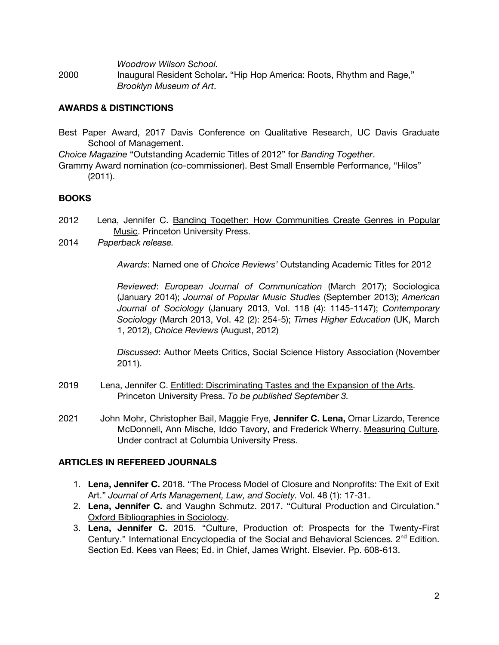*Woodrow Wilson School.*

2000 Inaugural Resident Scholar**.** "Hip Hop America: Roots, Rhythm and Rage," *Brooklyn Museum of Art*.

## **AWARDS & DISTINCTIONS**

Best Paper Award, 2017 Davis Conference on Qualitative Research, UC Davis Graduate School of Management.

*Choice Magazine* "Outstanding Academic Titles of 2012" for *Banding Together*.

Grammy Award nomination (co-commissioner). Best Small Ensemble Performance, "Hilos" (2011).

## **BOOKS**

- 2012 Lena, Jennifer C. Banding Together: How Communities Create Genres in Popular Music. Princeton University Press.
- 2014 *Paperback release.*

*Awards*: Named one of *Choice Reviews'* Outstanding Academic Titles for 2012

*Reviewed*: *European Journal of Communication* (March 2017); Sociologica (January 2014); *Journal of Popular Music Studies* (September 2013); *American Journal of Sociology* (January 2013, Vol. 118 (4): 1145-1147); *Contemporary Sociology* (March 2013, Vol. 42 (2): 254-5); *Times Higher Education* (UK, March 1, 2012), *Choice Reviews* (August, 2012)

*Discussed*: Author Meets Critics, Social Science History Association (November 2011).

- 2019 Lena, Jennifer C. Entitled: Discriminating Tastes and the Expansion of the Arts. Princeton University Press. *To be published September 3.*
- 2021 John Mohr, Christopher Bail, Maggie Frye, **Jennifer C. Lena,** Omar Lizardo, Terence McDonnell, Ann Mische, Iddo Tavory, and Frederick Wherry. Measuring Culture. Under contract at Columbia University Press.

## **ARTICLES IN REFEREED JOURNALS**

- 1. **Lena, Jennifer C.** 2018. "The Process Model of Closure and Nonprofits: The Exit of Exit Art." *Journal of Arts Management, Law, and Society.* Vol. 48 (1): 17-31.
- 2. **Lena, Jennifer C.** and Vaughn Schmutz. 2017. "Cultural Production and Circulation." Oxford Bibliographies in Sociology.
- 3. **Lena, Jennifer C.** 2015. "Culture, Production of: Prospects for the Twenty-First Century." International Encyclopedia of the Social and Behavioral Sciences. 2<sup>nd</sup> Edition. Section Ed. Kees van Rees; Ed. in Chief, James Wright. Elsevier. Pp. 608-613.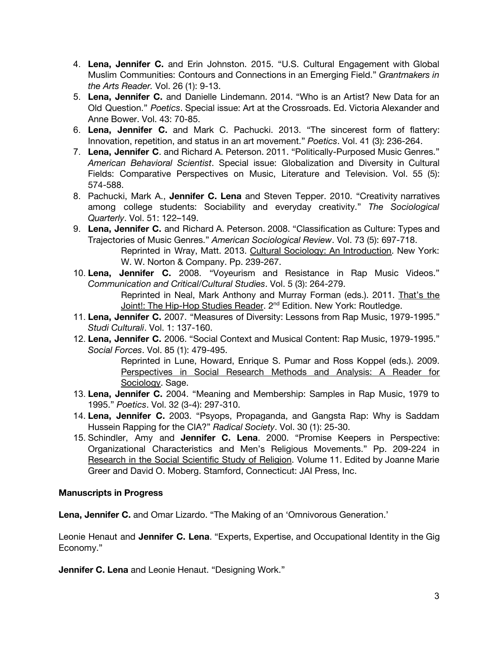- 4. **Lena, Jennifer C.** and Erin Johnston. 2015. "U.S. Cultural Engagement with Global Muslim Communities: Contours and Connections in an Emerging Field." *Grantmakers in the Arts Reader.* Vol. 26 (1): 9-13.
- 5. **Lena, Jennifer C.** and Danielle Lindemann. 2014. "Who is an Artist? New Data for an Old Question." *Poetics*. Special issue: Art at the Crossroads. Ed. Victoria Alexander and Anne Bower. Vol. 43: 70-85.
- 6. **Lena, Jennifer C.** and Mark C. Pachucki. 2013. "The sincerest form of flattery: Innovation, repetition, and status in an art movement." *Poetics*. Vol. 41 (3): 236-264.
- 7. **Lena, Jennifer C**. and Richard A. Peterson. 2011. "Politically-Purposed Music Genres." *American Behavioral Scientist*. Special issue: Globalization and Diversity in Cultural Fields: Comparative Perspectives on Music, Literature and Television. Vol. 55 (5): 574-588.
- 8. Pachucki, Mark A., **Jennifer C. Lena** and Steven Tepper. 2010. "Creativity narratives among college students: Sociability and everyday creativity." *The Sociological Quarterly*. Vol. 51: 122–149.
- 9. **Lena, Jennifer C.** and Richard A. Peterson. 2008. "Classification as Culture: Types and Trajectories of Music Genres." *American Sociological Review*. Vol. 73 (5): 697-718. Reprinted in Wray, Matt. 2013. Cultural Sociology: An Introduction. New York: W. W. Norton & Company. Pp. 239-267.
- 10. **Lena, Jennifer C.** 2008. "Voyeurism and Resistance in Rap Music Videos." *Communication and Critical/Cultural Studies*. Vol. 5 (3): 264-279. Reprinted in Neal, Mark Anthony and Murray Forman (eds.). 2011. That's the Joint!: The Hip-Hop Studies Reader. 2<sup>nd</sup> Edition. New York: Routledge.
- 11. **Lena, Jennifer C.** 2007. "Measures of Diversity: Lessons from Rap Music, 1979-1995." *Studi Culturali*. Vol. 1: 137-160.
- 12. **Lena, Jennifer C.** 2006. "Social Context and Musical Content: Rap Music, 1979-1995." *Social Forces*. Vol. 85 (1): 479-495.

Reprinted in Lune, Howard, Enrique S. Pumar and Ross Koppel (eds.). 2009. Perspectives in Social Research Methods and Analysis: A Reader for Sociology. Sage.

- 13. **Lena, Jennifer C.** 2004. "Meaning and Membership: Samples in Rap Music, 1979 to 1995." *Poetics*. Vol. 32 (3-4): 297-310.
- 14. **Lena, Jennifer C.** 2003. "Psyops, Propaganda, and Gangsta Rap: Why is Saddam Hussein Rapping for the CIA?" *Radical Society*. Vol. 30 (1): 25-30.
- 15. Schindler, Amy and **Jennifer C. Lena**. 2000. "Promise Keepers in Perspective: Organizational Characteristics and Men's Religious Movements." Pp. 209-224 in Research in the Social Scientific Study of Religion. Volume 11. Edited by Joanne Marie Greer and David O. Moberg. Stamford, Connecticut: JAI Press, Inc.

## **Manuscripts in Progress**

**Lena, Jennifer C.** and Omar Lizardo. "The Making of an 'Omnivorous Generation.'

Leonie Henaut and **Jennifer C. Lena**. "Experts, Expertise, and Occupational Identity in the Gig Economy."

**Jennifer C. Lena** and Leonie Henaut. "Designing Work."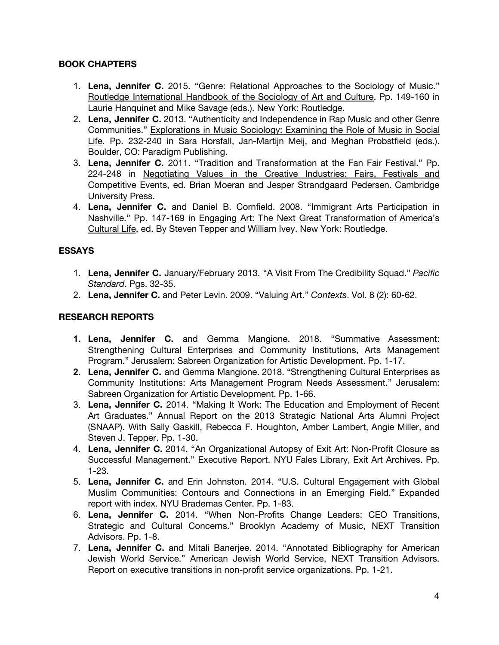## **BOOK CHAPTERS**

- 1. **Lena, Jennifer C.** 2015. "Genre: Relational Approaches to the Sociology of Music." Routledge International Handbook of the Sociology of Art and Culture. Pp. 149-160 in Laurie Hanquinet and Mike Savage (eds.). New York: Routledge.
- 2. **Lena, Jennifer C.** 2013. "Authenticity and Independence in Rap Music and other Genre Communities." Explorations in Music Sociology: Examining the Role of Music in Social Life. Pp. 232-240 in Sara Horsfall, Jan-Martijn Meij, and Meghan Probstfield (eds.). Boulder, CO: Paradigm Publishing.
- 3. **Lena, Jennifer C.** 2011. "Tradition and Transformation at the Fan Fair Festival." Pp. 224-248 in Negotiating Values in the Creative Industries: Fairs, Festivals and Competitive Events, ed. Brian Moeran and Jesper Strandgaard Pedersen. Cambridge University Press.
- 4. **Lena, Jennifer C.** and Daniel B. Cornfield. 2008. "Immigrant Arts Participation in Nashville." Pp. 147-169 in Engaging Art: The Next Great Transformation of America's Cultural Life, ed. By Steven Tepper and William Ivey. New York: Routledge.

## **ESSAYS**

- 1. **Lena, Jennifer C.** January/February 2013. "A Visit From The Credibility Squad." *Pacific Standard*. Pgs. 32-35.
- 2. **Lena, Jennifer C.** and Peter Levin. 2009. "Valuing Art." *Contexts*. Vol. 8 (2): 60-62.

## **RESEARCH REPORTS**

- **1. Lena, Jennifer C.** and Gemma Mangione. 2018. "Summative Assessment: Strengthening Cultural Enterprises and Community Institutions, Arts Management Program." Jerusalem: Sabreen Organization for Artistic Development. Pp. 1-17.
- **2. Lena, Jennifer C.** and Gemma Mangione. 2018. "Strengthening Cultural Enterprises as Community Institutions: Arts Management Program Needs Assessment." Jerusalem: Sabreen Organization for Artistic Development. Pp. 1-66.
- 3. **Lena, Jennifer C.** 2014. "Making It Work: The Education and Employment of Recent Art Graduates." Annual Report on the 2013 Strategic National Arts Alumni Project (SNAAP). With Sally Gaskill, Rebecca F. Houghton, Amber Lambert, Angie Miller, and Steven J. Tepper. Pp. 1-30.
- 4. **Lena, Jennifer C.** 2014. "An Organizational Autopsy of Exit Art: Non-Profit Closure as Successful Management." Executive Report. NYU Fales Library, Exit Art Archives. Pp. 1-23.
- 5. **Lena, Jennifer C.** and Erin Johnston. 2014. "U.S. Cultural Engagement with Global Muslim Communities: Contours and Connections in an Emerging Field." Expanded report with index. NYU Brademas Center. Pp. 1-83.
- 6. **Lena, Jennifer C.** 2014. "When Non-Profits Change Leaders: CEO Transitions, Strategic and Cultural Concerns." Brooklyn Academy of Music, NEXT Transition Advisors. Pp. 1-8.
- 7. **Lena, Jennifer C.** and Mitali Banerjee. 2014. "Annotated Bibliography for American Jewish World Service." American Jewish World Service, NEXT Transition Advisors. Report on executive transitions in non-profit service organizations. Pp. 1-21.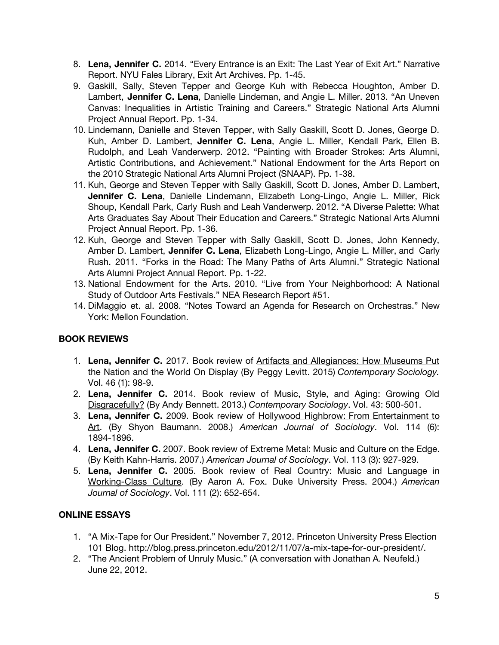- 8. **Lena, Jennifer C.** 2014. "Every Entrance is an Exit: The Last Year of Exit Art." Narrative Report. NYU Fales Library, Exit Art Archives. Pp. 1-45.
- 9. Gaskill, Sally, Steven Tepper and George Kuh with Rebecca Houghton, Amber D. Lambert, **Jennifer C. Lena**, Danielle Lindeman, and Angie L. Miller. 2013. "An Uneven Canvas: Inequalities in Artistic Training and Careers." Strategic National Arts Alumni Project Annual Report. Pp. 1-34.
- 10. Lindemann, Danielle and Steven Tepper, with Sally Gaskill, Scott D. Jones, George D. Kuh, Amber D. Lambert, **Jennifer C. Lena**, Angie L. Miller, Kendall Park, Ellen B. Rudolph, and Leah Vanderwerp. 2012. "Painting with Broader Strokes: Arts Alumni, Artistic Contributions, and Achievement." National Endowment for the Arts Report on the 2010 Strategic National Arts Alumni Project (SNAAP). Pp. 1-38.
- 11. Kuh, George and Steven Tepper with Sally Gaskill, Scott D. Jones, Amber D. Lambert, **Jennifer C. Lena**, Danielle Lindemann, Elizabeth Long-Lingo, Angie L. Miller, Rick Shoup, Kendall Park, Carly Rush and Leah Vanderwerp. 2012. "A Diverse Palette: What Arts Graduates Say About Their Education and Careers." Strategic National Arts Alumni Project Annual Report. Pp. 1-36.
- 12. Kuh, George and Steven Tepper with Sally Gaskill, Scott D. Jones, John Kennedy, Amber D. Lambert, **Jennifer C. Lena**, Elizabeth Long-Lingo, Angie L. Miller, and Carly Rush. 2011. "Forks in the Road: The Many Paths of Arts Alumni." Strategic National Arts Alumni Project Annual Report. Pp. 1-22.
- 13. National Endowment for the Arts. 2010. "Live from Your Neighborhood: A National Study of Outdoor Arts Festivals." NEA Research Report #51.
- 14. DiMaggio et. al. 2008. "Notes Toward an Agenda for Research on Orchestras." New York: Mellon Foundation.

## **BOOK REVIEWS**

- 1. **Lena, Jennifer C.** 2017. Book review of Artifacts and Allegiances: How Museums Put the Nation and the World On Display (By Peggy Levitt. 2015) *Contemporary Sociology.* Vol. 46 (1): 98-9.
- 2. **Lena, Jennifer C.** 2014. Book review of Music, Style, and Aging: Growing Old Disgracefully? (By Andy Bennett. 2013.) *Contemporary Sociology*. Vol. 43: 500-501.
- 3. **Lena, Jennifer C.** 2009. Book review of Hollywood Highbrow: From Entertainment to Art. (By Shyon Baumann. 2008.) *American Journal of Sociology*. Vol. 114 (6): 1894-1896.
- 4. **Lena, Jennifer C.** 2007. Book review of Extreme Metal: Music and Culture on the Edge. (By Keith Kahn-Harris. 2007.) *American Journal of Sociology*. Vol. 113 (3): 927-929.
- 5. **Lena, Jennifer C.** 2005. Book review of Real Country: Music and Language in Working-Class Culture. (By Aaron A. Fox. Duke University Press. 2004.) *American Journal of Sociology*. Vol. 111 (2): 652-654.

## **ONLINE ESSAYS**

- 1. "A Mix-Tape for Our President." November 7, 2012. Princeton University Press Election 101 Blog. http://blog.press.princeton.edu/2012/11/07/a-mix-tape-for-our-president/.
- 2. "The Ancient Problem of Unruly Music." (A conversation with Jonathan A. Neufeld.) June 22, 2012.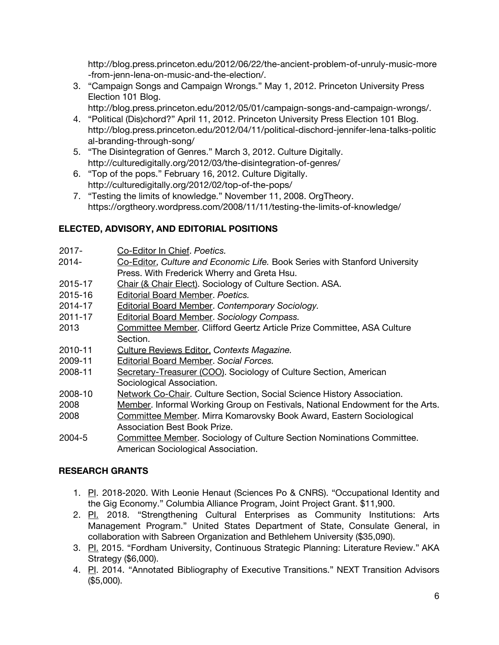http://blog.press.princeton.edu/2012/06/22/the-ancient-problem-of-unruly-music-more -from-jenn-lena-on-music-and-the-election/.

- 3. "Campaign Songs and Campaign Wrongs." May 1, 2012. Princeton University Press Election 101 Blog.
	- http://blog.press.princeton.edu/2012/05/01/campaign-songs-and-campaign-wrongs/.
- 4. "Political (Dis)chord?" April 11, 2012. Princeton University Press Election 101 Blog. http://blog.press.princeton.edu/2012/04/11/political-dischord-jennifer-lena-talks-politic al-branding-through-song/
- 5. "The Disintegration of Genres." March 3, 2012. Culture Digitally. http://culturedigitally.org/2012/03/the-disintegration-of-genres/
- 6. "Top of the pops." February 16, 2012. Culture Digitally. http://culturedigitally.org/2012/02/top-of-the-pops/
- 7. "Testing the limits of knowledge." November 11, 2008. OrgTheory. https://orgtheory.wordpress.com/2008/11/11/testing-the-limits-of-knowledge/

## **ELECTED, ADVISORY, AND EDITORIAL POSITIONS**

- 2017- Co-Editor In Chief. *Poetics.*
- 2014- Co-Editor, *Culture and Economic Life.* Book Series with Stanford University Press. With Frederick Wherry and Greta Hsu.
- 2015-17 Chair (& Chair Elect). Sociology of Culture Section. ASA.
- 2015-16 Editorial Board Member. *Poetics.*
- 2014-17 Editorial Board Member. *Contemporary Sociology.*
- 2011-17 Editorial Board Member. *Sociology Compass.*
- 2013 Committee Member. Clifford Geertz Article Prize Committee, ASA Culture Section.
- 2010-11 Culture Reviews Editor. *Contexts Magazine.*
- 2009-11 Editorial Board Member. *Social Forces.*
- 2008-11 Secretary-Treasurer (COO). Sociology of Culture Section, American Sociological Association.
- 2008-10 Network Co-Chair. Culture Section, Social Science History Association.
- 2008 Member. Informal Working Group on Festivals, National Endowment for the Arts.
- 2008 Committee Member. Mirra Komarovsky Book Award, Eastern Sociological Association Best Book Prize.
- 2004-5 Committee Member. Sociology of Culture Section Nominations Committee. American Sociological Association.

## **RESEARCH GRANTS**

- 1. P. 2018-2020. With Leonie Henaut (Sciences Po & CNRS). "Occupational Identity and the Gig Economy." Columbia Alliance Program, Joint Project Grant. \$11,900.
- 2. Pl. 2018. "Strengthening Cultural Enterprises as Community Institutions: Arts Management Program." United States Department of State, Consulate General, in collaboration with Sabreen Organization and Bethlehem University (\$35,090).
- 3. PI. 2015. "Fordham University, Continuous Strategic Planning: Literature Review." AKA Strategy (\$6,000).
- 4. PI. 2014. "Annotated Bibliography of Executive Transitions." NEXT Transition Advisors (\$5,000).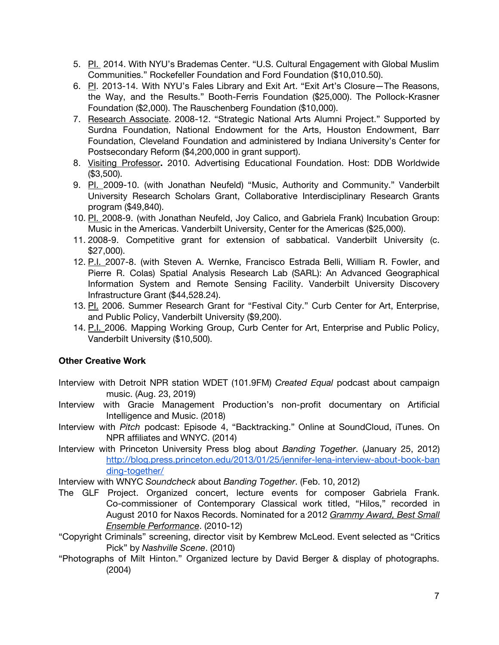- 5. PI. 2014. With NYU's Brademas Center. "U.S. Cultural Engagement with Global Muslim Communities." Rockefeller Foundation and Ford Foundation (\$10,010.50).
- 6. PI. 2013-14. With NYU's Fales Library and Exit Art. "Exit Art's Closure—The Reasons, the Way, and the Results." Booth-Ferris Foundation (\$25,000). The Pollock-Krasner Foundation (\$2,000). The Rauschenberg Foundation (\$10,000).
- 7. Research Associate. 2008-12. "Strategic National Arts Alumni Project." Supported by Surdna Foundation, National Endowment for the Arts, Houston Endowment, Barr Foundation, Cleveland Foundation and administered by Indiana University's Center for Postsecondary Reform (\$4,200,000 in grant support).
- 8. Visiting Professor**.** 2010. Advertising Educational Foundation. Host: DDB Worldwide (\$3,500).
- 9. Pl. 2009-10. (with Jonathan Neufeld) "Music, Authority and Community." Vanderbilt University Research Scholars Grant, Collaborative Interdisciplinary Research Grants program (\$49,840).
- 10. PI. 2008-9. (with Jonathan Neufeld, Joy Calico, and Gabriela Frank) Incubation Group: Music in the Americas. Vanderbilt University, Center for the Americas (\$25,000).
- 11. 2008-9. Competitive grant for extension of sabbatical. Vanderbilt University (c. \$27,000).
- 12. P.I. 2007-8. (with Steven A. Wernke, Francisco Estrada Belli, William R. Fowler, and Pierre R. Colas) Spatial Analysis Research Lab (SARL): An Advanced Geographical Information System and Remote Sensing Facility. Vanderbilt University Discovery Infrastructure Grant (\$44,528.24).
- 13. Pl. 2006. Summer Research Grant for "Festival City." Curb Center for Art, Enterprise, and Public Policy, Vanderbilt University (\$9,200).
- 14. P.I. 2006. Mapping Working Group, Curb Center for Art, Enterprise and Public Policy, Vanderbilt University (\$10,500).

## **Other Creative Work**

- Interview with Detroit NPR station WDET (101.9FM) *Created Equal* podcast about campaign music. (Aug. 23, 2019)
- Interview with Gracie Management Production's non-profit documentary on Artificial Intelligence and Music. (2018)
- Interview with *Pitch* podcast: Episode 4, "Backtracking." Online at SoundCloud, iTunes. On NPR affiliates and WNYC. (2014)
- Interview with Princeton University Press blog about *Banding Together*. (January 25, 2012) [http://blog.press.princeton.edu/2013/01/25/jennifer-lena-interview-about-book-ban](http://blog.press.princeton.edu/2013/01/25/jennifer-lena-interview-about-book-banding-together/) [ding-together/](http://blog.press.princeton.edu/2013/01/25/jennifer-lena-interview-about-book-banding-together/)

Interview with WNYC *Soundcheck* about *Banding Together*. (Feb. 10, 2012)

- The GLF Project. Organized concert, lecture events for composer Gabriela Frank. Co-commissioner of Contemporary Classical work titled, "Hilos," recorded in August 2010 for Naxos Records. Nominated for a 2012 *Grammy Award, Best Small Ensemble Performance*. (2010-12)
- "Copyright Criminals" screening, director visit by Kembrew McLeod. Event selected as "Critics Pick" by *Nashville Scene*. (2010)
- "Photographs of Milt Hinton." Organized lecture by David Berger & display of photographs. (2004)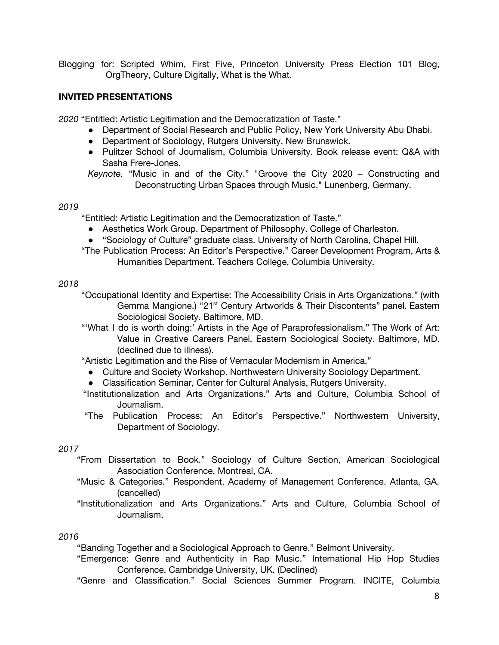Blogging for: Scripted Whim, First Five, Princeton University Press Election 101 Blog, OrgTheory, Culture Digitally, What is the What.

## **INVITED PRESENTATIONS**

*2020* "Entitled: Artistic Legitimation and the Democratization of Taste."

- Department of Social Research and Public Policy, New York University Abu Dhabi.
- Department of Sociology, Rutgers University, New Brunswick.
- Pulitzer School of Journalism, Columbia University. Book release event: Q&A with Sasha Frere-Jones.

*Keynote.* "Music in and of the City." "Groove the City 2020 – Constructing and Deconstructing Urban Spaces through Music." Lunenberg, Germany.

### *2019*

"Entitled: Artistic Legitimation and the Democratization of Taste."

- Aesthetics Work Group. Department of Philosophy. College of Charleston.
- "Sociology of Culture" graduate class. University of North Carolina, Chapel Hill.
- "The Publication Process: An Editor's Perspective." Career Development Program, Arts & Humanities Department. Teachers College, Columbia University.

### *2018*

"Occupational Identity and Expertise: The Accessibility Crisis in Arts Organizations." (with Gemma Mangione.) "21<sup>st</sup> Century Artworlds & Their Discontents" panel. Eastern Sociological Society. Baltimore, MD.

"'What I do is worth doing:' Artists in the Age of Paraprofessionalism." The Work of Art: Value in Creative Careers Panel. Eastern Sociological Society. Baltimore, MD. (declined due to illness).

"Artistic Legitimation and the Rise of Vernacular Modernism in America."

- Culture and Society Workshop. Northwestern University Sociology Department.
- Classification Seminar, Center for Cultural Analysis, Rutgers University.
- "Institutionalization and Arts Organizations." Arts and Culture, Columbia School of Journalism.
- "The Publication Process: An Editor's Perspective." Northwestern University, Department of Sociology.

## *2017*

- "From Dissertation to Book." Sociology of Culture Section, American Sociological Association Conference, Montreal, CA.
- "Music & Categories." Respondent. Academy of Management Conference. Atlanta, GA. (cancelled)
- "Institutionalization and Arts Organizations." Arts and Culture, Columbia School of Journalism.

#### *2016*

"Banding Together and a Sociological Approach to Genre." Belmont University.

"Emergence: Genre and Authenticity in Rap Music." International Hip Hop Studies Conference. Cambridge University, UK. (Declined)

"Genre and Classification." Social Sciences Summer Program. INCITE, Columbia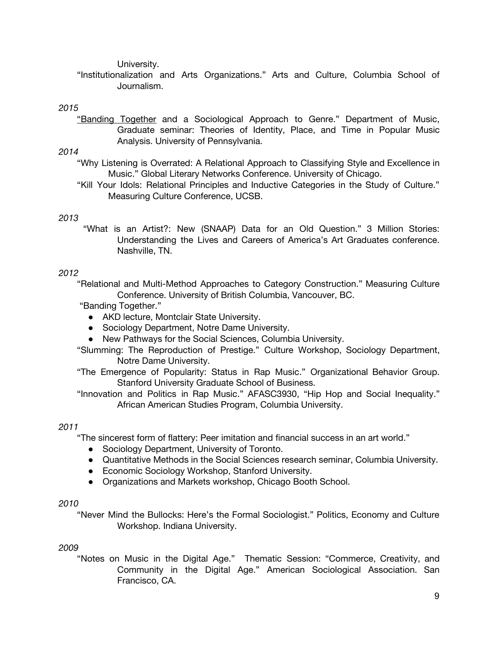University.

"Institutionalization and Arts Organizations." Arts and Culture, Columbia School of Journalism.

### *2015*

"Banding Together and a Sociological Approach to Genre." Department of Music, Graduate seminar: Theories of Identity, Place, and Time in Popular Music Analysis. University of Pennsylvania.

### *2014*

- "Why Listening is Overrated: A Relational Approach to Classifying Style and Excellence in Music." Global Literary Networks Conference. University of Chicago.
- "Kill Your Idols: Relational Principles and Inductive Categories in the Study of Culture." Measuring Culture Conference, UCSB.

## *2013*

"What is an Artist?: New (SNAAP) Data for an Old Question." 3 Million Stories: Understanding the Lives and Careers of America's Art Graduates conference. Nashville, TN.

## *2012*

"Relational and Multi-Method Approaches to Category Construction." Measuring Culture Conference. University of British Columbia, Vancouver, BC.

"Banding Together."

- AKD lecture, Montclair State University.
- Sociology Department, Notre Dame University.
- New Pathways for the Social Sciences, Columbia University.
- "Slumming: The Reproduction of Prestige." Culture Workshop, Sociology Department, Notre Dame University.
- "The Emergence of Popularity: Status in Rap Music." Organizational Behavior Group. Stanford University Graduate School of Business.
- "Innovation and Politics in Rap Music." AFASC3930, "Hip Hop and Social Inequality." African American Studies Program, Columbia University.

### *2011*

"The sincerest form of flattery: Peer imitation and financial success in an art world."

- Sociology Department, University of Toronto.
- Quantitative Methods in the Social Sciences research seminar, Columbia University.
- Economic Sociology Workshop, Stanford University.
- Organizations and Markets workshop, Chicago Booth School.

### *2010*

"Never Mind the Bullocks: Here's the Formal Sociologist." Politics, Economy and Culture Workshop. Indiana University.

### *2009*

"Notes on Music in the Digital Age." Thematic Session: "Commerce, Creativity, and Community in the Digital Age." American Sociological Association. San Francisco, CA.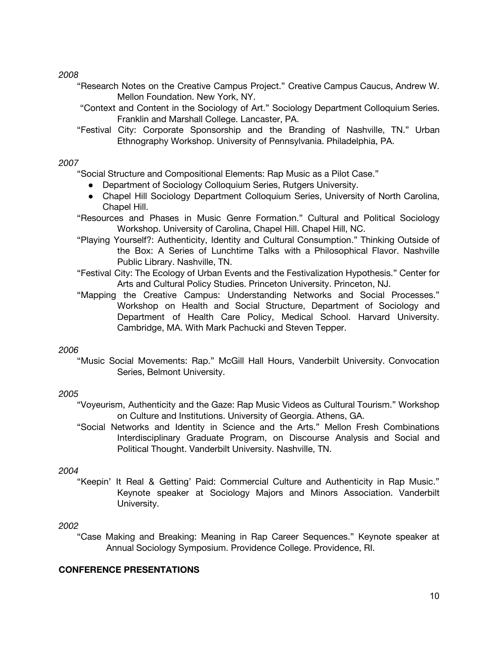*2008*

- "Research Notes on the Creative Campus Project." Creative Campus Caucus, Andrew W. Mellon Foundation. New York, NY.
- "Context and Content in the Sociology of Art." Sociology Department Colloquium Series. Franklin and Marshall College. Lancaster, PA.
- "Festival City: Corporate Sponsorship and the Branding of Nashville, TN." Urban Ethnography Workshop. University of Pennsylvania. Philadelphia, PA.

## *2007*

"Social Structure and Compositional Elements: Rap Music as a Pilot Case."

- Department of Sociology Colloquium Series, Rutgers University.
- Chapel Hill Sociology Department Colloquium Series, University of North Carolina, Chapel Hill.
- "Resources and Phases in Music Genre Formation." Cultural and Political Sociology Workshop. University of Carolina, Chapel Hill. Chapel Hill, NC.
- "Playing Yourself?: Authenticity, Identity and Cultural Consumption." Thinking Outside of the Box: A Series of Lunchtime Talks with a Philosophical Flavor. Nashville Public Library. Nashville, TN.
- "Festival City: The Ecology of Urban Events and the Festivalization Hypothesis." Center for Arts and Cultural Policy Studies. Princeton University. Princeton, NJ.
- "Mapping the Creative Campus: Understanding Networks and Social Processes." Workshop on Health and Social Structure, Department of Sociology and Department of Health Care Policy, Medical School. Harvard University. Cambridge, MA. With Mark Pachucki and Steven Tepper.

## *2006*

"Music Social Movements: Rap." McGill Hall Hours, Vanderbilt University. Convocation Series, Belmont University.

## *2005*

- "Voyeurism, Authenticity and the Gaze: Rap Music Videos as Cultural Tourism." Workshop on Culture and Institutions. University of Georgia. Athens, GA.
- "Social Networks and Identity in Science and the Arts." Mellon Fresh Combinations Interdisciplinary Graduate Program, on Discourse Analysis and Social and Political Thought. Vanderbilt University. Nashville, TN.

## *2004*

"Keepin' It Real & Getting' Paid: Commercial Culture and Authenticity in Rap Music." Keynote speaker at Sociology Majors and Minors Association. Vanderbilt University.

## *2002*

"Case Making and Breaking: Meaning in Rap Career Sequences." Keynote speaker at Annual Sociology Symposium. Providence College. Providence, RI.

## **CONFERENCE PRESENTATIONS**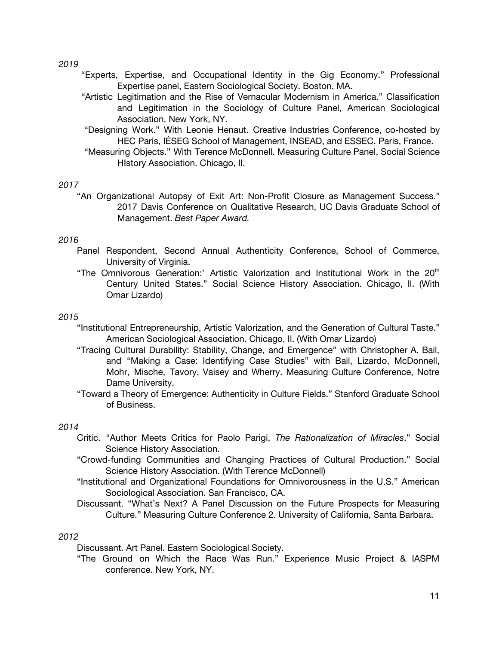*2019*

- "Experts, Expertise, and Occupational Identity in the Gig Economy." Professional Expertise panel, Eastern Sociological Society. Boston, MA.
- "Artistic Legitimation and the Rise of Vernacular Modernism in America." Classification and Legitimation in the Sociology of Culture Panel, American Sociological Association. New York, NY.
- "Designing Work." With Leonie Henaut. Creative Industries Conference, co-hosted by HEC Paris, IÉSEG School of Management, INSEAD, and ESSEC. Paris, France.
- "Measuring Objects." With Terence McDonnell. Measuring Culture Panel, Social Science HIstory Association. Chicago, Il.

### *2017*

"An Organizational Autopsy of Exit Art: Non-Profit Closure as Management Success." 2017 Davis Conference on Qualitative Research, UC Davis Graduate School of Management. *Best Paper Award.*

### *2016*

- Panel Respondent, Second Annual Authenticity Conference, School of Commerce, University of Virginia.
- "The Omnivorous Generation:' Artistic Valorization and Institutional Work in the 20<sup>th</sup> Century United States." Social Science History Association. Chicago, Il. (With Omar Lizardo)

### *2015*

- "Institutional Entrepreneurship, Artistic Valorization, and the Generation of Cultural Taste." American Sociological Association. Chicago, Il. (With Omar Lizardo)
- "Tracing Cultural Durability: Stability, Change, and Emergence" with Christopher A. Bail, and "Making a Case: Identifying Case Studies" with Bail, Lizardo, McDonnell, Mohr, Mische, Tavory, Vaisey and Wherry. Measuring Culture Conference, Notre Dame University.
- "Toward a Theory of Emergence: Authenticity in Culture Fields." Stanford Graduate School of Business.

#### *2014*

- Critic. "Author Meets Critics for Paolo Parigi, *The Rationalization of Miracles*." Social Science History Association.
- "Crowd-funding Communities and Changing Practices of Cultural Production." Social Science History Association. (With Terence McDonnell)
- "Institutional and Organizational Foundations for Omnivorousness in the U.S." American Sociological Association. San Francisco, CA.
- Discussant. "What's Next? A Panel Discussion on the Future Prospects for Measuring Culture." Measuring Culture Conference 2. University of California, Santa Barbara.

#### *2012*

Discussant. Art Panel. Eastern Sociological Society.

"The Ground on Which the Race Was Run." Experience Music Project & IASPM conference. New York, NY.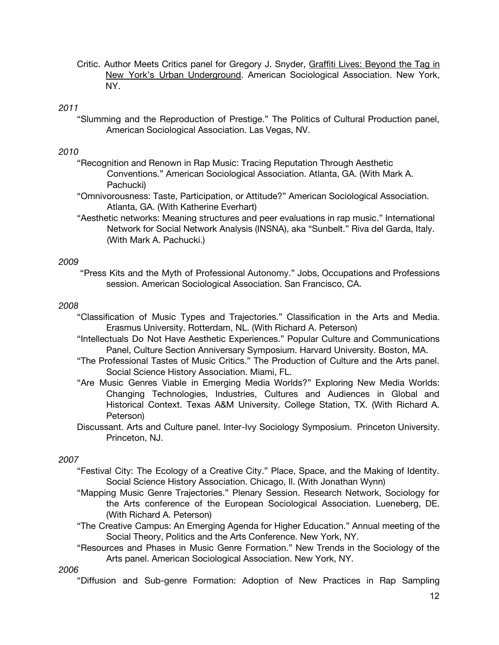Critic. Author Meets Critics panel for Gregory J. Snyder, Graffiti Lives: Beyond the Tag in New York's Urban Underground. American Sociological Association. New York, NY.

### *2011*

"Slumming and the Reproduction of Prestige." The Politics of Cultural Production panel, American Sociological Association. Las Vegas, NV.

### *2010*

- "Recognition and Renown in Rap Music: Tracing Reputation Through Aesthetic Conventions." American Sociological Association. Atlanta, GA. (With Mark A. Pachucki)
- "Omnivorousness: Taste, Participation, or Attitude?" American Sociological Association. Atlanta, GA. (With Katherine Everhart)
- "Aesthetic networks: Meaning structures and peer evaluations in rap music." International Network for Social Network Analysis (INSNA), aka "Sunbelt." Riva del Garda, Italy. (With Mark A. Pachucki.)

#### *2009*

"Press Kits and the Myth of Professional Autonomy." Jobs, Occupations and Professions session. American Sociological Association. San Francisco, CA.

#### *2008*

- "Classification of Music Types and Trajectories." Classification in the Arts and Media. Erasmus University. Rotterdam, NL. (With Richard A. Peterson)
- "Intellectuals Do Not Have Aesthetic Experiences." Popular Culture and Communications Panel, Culture Section Anniversary Symposium. Harvard University. Boston, MA.
- "The Professional Tastes of Music Critics." The Production of Culture and the Arts panel. Social Science History Association. Miami, FL.
- "Are Music Genres Viable in Emerging Media Worlds?" Exploring New Media Worlds: Changing Technologies, Industries, Cultures and Audiences in Global and Historical Context. Texas A&M University. College Station, TX. (With Richard A. Peterson)
- Discussant. Arts and Culture panel. Inter-Ivy Sociology Symposium. Princeton University. Princeton, NJ.

#### *2007*

- "Festival City: The Ecology of a Creative City." Place, Space, and the Making of Identity. Social Science History Association. Chicago, Il. (With Jonathan Wynn)
- "Mapping Music Genre Trajectories." Plenary Session. Research Network, Sociology for the Arts conference of the European Sociological Association. Lueneberg, DE. (With Richard A. Peterson)
- "The Creative Campus: An Emerging Agenda for Higher Education." Annual meeting of the Social Theory, Politics and the Arts Conference. New York, NY.
- "Resources and Phases in Music Genre Formation." New Trends in the Sociology of the Arts panel. American Sociological Association. New York, NY.

### *2006*

"Diffusion and Sub-genre Formation: Adoption of New Practices in Rap Sampling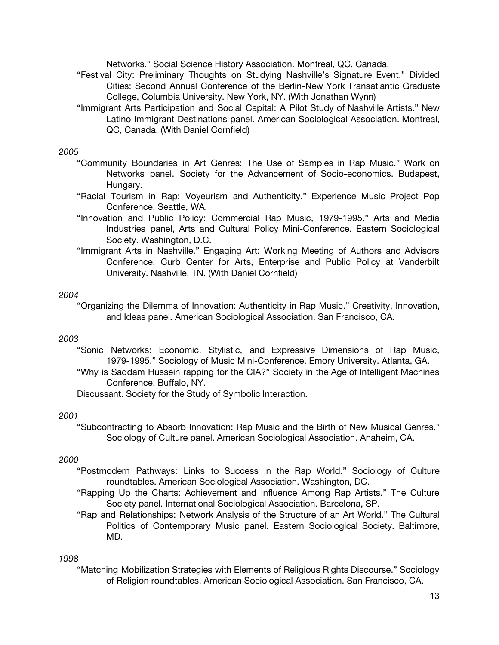Networks." Social Science History Association. Montreal, QC, Canada.

- "Festival City: Preliminary Thoughts on Studying Nashville's Signature Event." Divided Cities: Second Annual Conference of the Berlin-New York Transatlantic Graduate College, Columbia University. New York, NY. (With Jonathan Wynn)
- "Immigrant Arts Participation and Social Capital: A Pilot Study of Nashville Artists." New Latino Immigrant Destinations panel. American Sociological Association. Montreal, QC, Canada. (With Daniel Cornfield)

### *2005*

- "Community Boundaries in Art Genres: The Use of Samples in Rap Music." Work on Networks panel. Society for the Advancement of Socio-economics. Budapest, Hungary.
- "Racial Tourism in Rap: Voyeurism and Authenticity." Experience Music Project Pop Conference. Seattle, WA.
- "Innovation and Public Policy: Commercial Rap Music, 1979-1995." Arts and Media Industries panel, Arts and Cultural Policy Mini-Conference. Eastern Sociological Society. Washington, D.C.
- "Immigrant Arts in Nashville." Engaging Art: Working Meeting of Authors and Advisors Conference, Curb Center for Arts, Enterprise and Public Policy at Vanderbilt University. Nashville, TN. (With Daniel Cornfield)

#### *2004*

"Organizing the Dilemma of Innovation: Authenticity in Rap Music." Creativity, Innovation, and Ideas panel. American Sociological Association. San Francisco, CA.

#### *2003*

- "Sonic Networks: Economic, Stylistic, and Expressive Dimensions of Rap Music, 1979-1995." Sociology of Music Mini-Conference. Emory University. Atlanta, GA.
- "Why is Saddam Hussein rapping for the CIA?" Society in the Age of Intelligent Machines Conference. Buffalo, NY.

Discussant. Society for the Study of Symbolic Interaction.

#### *2001*

"Subcontracting to Absorb Innovation: Rap Music and the Birth of New Musical Genres." Sociology of Culture panel. American Sociological Association. Anaheim, CA.

#### *2000*

- "Postmodern Pathways: Links to Success in the Rap World." Sociology of Culture roundtables. American Sociological Association. Washington, DC.
- "Rapping Up the Charts: Achievement and Influence Among Rap Artists." The Culture Society panel. International Sociological Association. Barcelona, SP.
- "Rap and Relationships: Network Analysis of the Structure of an Art World." The Cultural Politics of Contemporary Music panel. Eastern Sociological Society. Baltimore, MD.

#### *1998*

"Matching Mobilization Strategies with Elements of Religious Rights Discourse." Sociology of Religion roundtables. American Sociological Association. San Francisco, CA.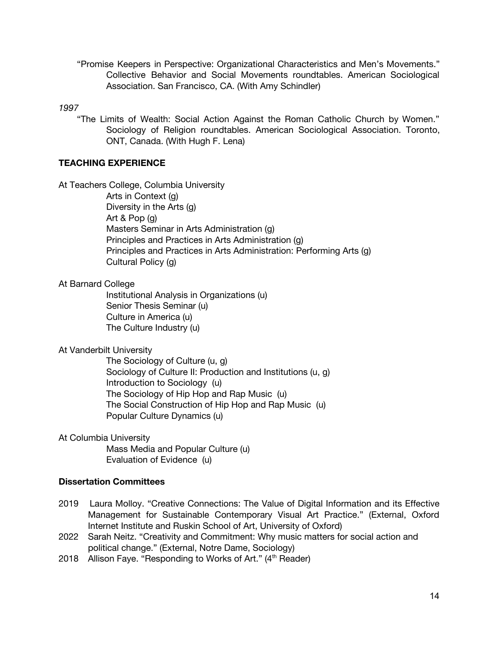"Promise Keepers in Perspective: Organizational Characteristics and Men's Movements." Collective Behavior and Social Movements roundtables. American Sociological Association. San Francisco, CA. (With Amy Schindler)

#### *1997*

"The Limits of Wealth: Social Action Against the Roman Catholic Church by Women." Sociology of Religion roundtables. American Sociological Association. Toronto, ONT, Canada. (With Hugh F. Lena)

### **TEACHING EXPERIENCE**

At Teachers College, Columbia University

Arts in Context (g) Diversity in the Arts (g) Art & Pop (g) Masters Seminar in Arts Administration (g) Principles and Practices in Arts Administration (g) Principles and Practices in Arts Administration: Performing Arts (g) Cultural Policy (g)

### At Barnard College

Institutional Analysis in Organizations (u) Senior Thesis Seminar (u) Culture in America (u) The Culture Industry (u)

### At Vanderbilt University

The Sociology of Culture (u, g) Sociology of Culture II: Production and Institutions (u, g) Introduction to Sociology (u) The Sociology of Hip Hop and Rap Music (u) The Social Construction of Hip Hop and Rap Music (u) Popular Culture Dynamics (u)

#### At Columbia University

Mass Media and Popular Culture (u) Evaluation of Evidence (u)

### **Dissertation Committees**

- 2019 Laura Molloy. "Creative Connections: The Value of Digital Information and its Effective Management for Sustainable Contemporary Visual Art Practice." (External, Oxford Internet Institute and Ruskin School of Art, University of Oxford)
- 2022 Sarah Neitz. "Creativity and Commitment: Why music matters for social action and political change." (External, Notre Dame, Sociology)
- 2018 Allison Faye. "Responding to Works of Art." (4<sup>th</sup> Reader)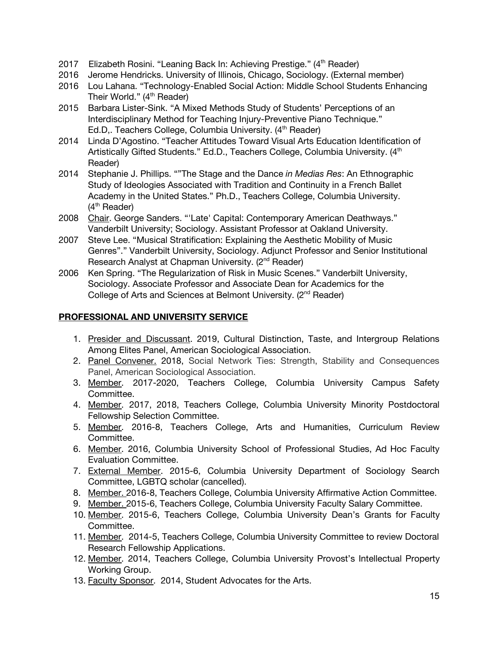- 2017 Elizabeth Rosini. "Leaning Back In: Achieving Prestige." (4<sup>th</sup> Reader)
- 2016 Jerome Hendricks. University of Illinois, Chicago, Sociology. (External member)
- 2016 Lou Lahana. "Technology-Enabled Social Action: Middle School Students Enhancing Their World." (4<sup>th</sup> Reader)
- 2015 Barbara Lister-Sink. "A Mixed Methods Study of Students' Perceptions of an Interdisciplinary Method for Teaching Injury-Preventive Piano Technique." Ed.D,. Teachers College, Columbia University. (4<sup>th</sup> Reader)
- 2014 Linda D'Agostino. "Teacher Attitudes Toward Visual Arts Education Identification of Artistically Gifted Students." Ed.D., Teachers College, Columbia University. (4<sup>th</sup> Reader)
- 2014 Stephanie J. Phillips. ""The Stage and the Dance *in Medias Res*: An Ethnographic Study of Ideologies Associated with Tradition and Continuity in a French Ballet Academy in the United States." Ph.D., Teachers College, Columbia University. (4<sup>th</sup> Reader)
- 2008 Chair. George Sanders. "'Late' Capital: Contemporary American Deathways." Vanderbilt University; Sociology. Assistant Professor at Oakland University.
- 2007 Steve Lee. "Musical Stratification: Explaining the Aesthetic Mobility of Music Genres"." Vanderbilt University, Sociology. Adjunct Professor and Senior Institutional Research Analyst at Chapman University. (2<sup>nd</sup> Reader)
- 2006 Ken Spring. "The Regularization of Risk in Music Scenes." Vanderbilt University, Sociology. Associate Professor and Associate Dean for Academics for the College of Arts and Sciences at Belmont University. (2<sup>nd</sup> Reader)

## **PROFESSIONAL AND UNIVERSITY SERVICE**

- 1. Presider and Discussant. 2019, Cultural Distinction, Taste, and Intergroup Relations Among Elites Panel, American Sociological Association.
- 2. Panel Convener. 2018, Social Network Ties: Strength, Stability and Consequences Panel, American Sociological Association.
- 3. Member. 2017-2020, Teachers College, Columbia University Campus Safety Committee.
- 4. Member. 2017, 2018, Teachers College, Columbia University Minority Postdoctoral Fellowship Selection Committee.
- 5. Member. 2016-8, Teachers College, Arts and Humanities, Curriculum Review Committee.
- 6. Member. 2016, Columbia University School of Professional Studies, Ad Hoc Faculty Evaluation Committee.
- 7. External Member. 2015-6, Columbia University Department of Sociology Search Committee, LGBTQ scholar (cancelled).
- 8. Member. 2016-8, Teachers College, Columbia University Affirmative Action Committee.
- 9. Member. 2015-6, Teachers College, Columbia University Faculty Salary Committee.
- 10. Member. 2015-6, Teachers College, Columbia University Dean's Grants for Faculty Committee.
- 11. Member. 2014-5, Teachers College, Columbia University Committee to review Doctoral Research Fellowship Applications.
- 12. Member. 2014, Teachers College, Columbia University Provost's Intellectual Property Working Group.
- 13. Faculty Sponsor. 2014, Student Advocates for the Arts.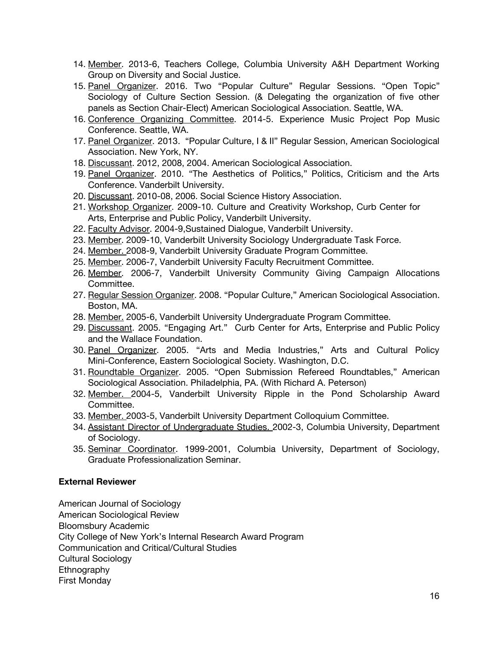- 14. Member. 2013-6, Teachers College, Columbia University A&H Department Working Group on Diversity and Social Justice.
- 15. Panel Organizer. 2016. Two "Popular Culture" Regular Sessions. "Open Topic" Sociology of Culture Section Session. (& Delegating the organization of five other panels as Section Chair-Elect) American Sociological Association. Seattle, WA.
- 16. Conference Organizing Committee. 2014-5. Experience Music Project Pop Music Conference. Seattle, WA.
- 17. Panel Organizer. 2013. "Popular Culture, I & II" Regular Session, American Sociological Association. New York, NY.
- 18. Discussant. 2012, 2008, 2004. American Sociological Association.
- 19. Panel Organizer. 2010. "The Aesthetics of Politics," Politics, Criticism and the Arts Conference. Vanderbilt University.
- 20. Discussant. 2010-08, 2006. Social Science History Association.
- 21. Workshop Organizer. 2009-10. Culture and Creativity Workshop, Curb Center for Arts, Enterprise and Public Policy, Vanderbilt University.
- 22. Faculty Advisor. 2004-9,Sustained Dialogue, Vanderbilt University.
- 23. Member. 2009-10, Vanderbilt University Sociology Undergraduate Task Force.
- 24. Member. 2008-9, Vanderbilt University Graduate Program Committee.
- 25. Member. 2006-7, Vanderbilt University Faculty Recruitment Committee.
- 26. Member. 2006-7, Vanderbilt University Community Giving Campaign Allocations Committee.
- 27. Regular Session Organizer. 2008. "Popular Culture," American Sociological Association. Boston, MA.
- 28. Member. 2005-6, Vanderbilt University Undergraduate Program Committee.
- 29. Discussant. 2005. "Engaging Art." Curb Center for Arts, Enterprise and Public Policy and the Wallace Foundation.
- 30. Panel Organizer. 2005. "Arts and Media Industries," Arts and Cultural Policy Mini-Conference, Eastern Sociological Society. Washington, D.C.
- 31. Roundtable Organizer. 2005. "Open Submission Refereed Roundtables," American Sociological Association. Philadelphia, PA. (With Richard A. Peterson)
- 32. Member. 2004-5, Vanderbilt University Ripple in the Pond Scholarship Award Committee.
- 33. Member. 2003-5, Vanderbilt University Department Colloquium Committee.
- 34. Assistant Director of Undergraduate Studies. 2002-3, Columbia University, Department of Sociology.
- 35. Seminar Coordinator. 1999-2001, Columbia University, Department of Sociology, Graduate Professionalization Seminar.

## **External Reviewer**

American Journal of Sociology American Sociological Review Bloomsbury Academic City College of New York's Internal Research Award Program Communication and Critical/Cultural Studies Cultural Sociology Ethnography First Monday